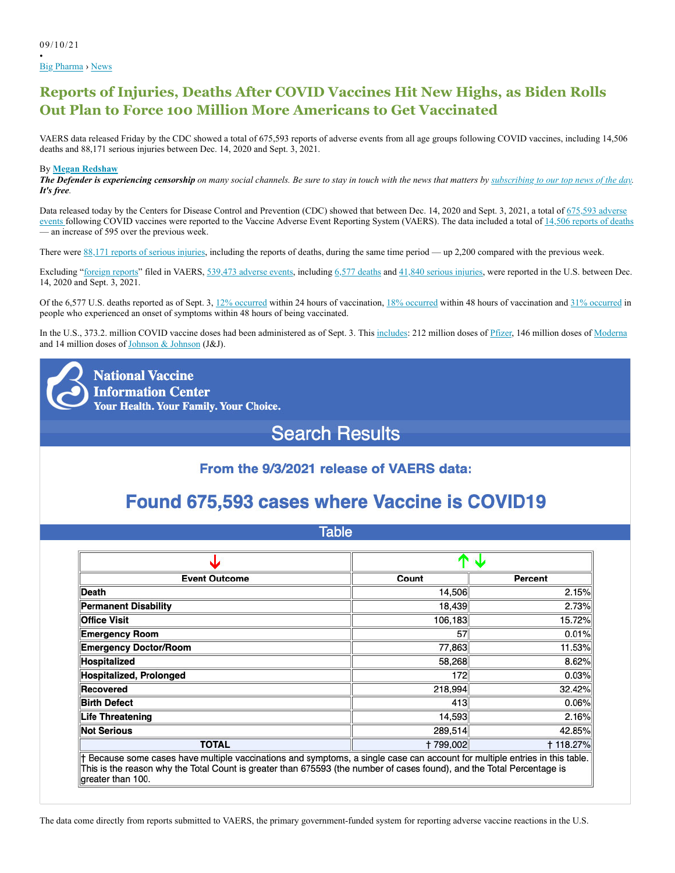• Big Pharma › News

# **Reports of Injuries, Deaths After COVID Vaccines Hit New Highs, as Biden Rolls Out Plan to Force 100 Million More Americans to Get Vaccinated**

VAERS data released Friday by the CDC showed a total of 675,593 reports of adverse events from all age groups following COVID vaccines, including 14,506 deaths and 88,171 serious injuries between Dec. 14, 2020 and Sept. 3, 2021.

## By **Megan Redshaw**

*The Defender is experiencing censorship on many social channels. Be sure to stay in touch with the news that matters by subscribing to our top news of the day. It's free.*

Data released today by the Centers for Disease Control and Prevention (CDC) showed that between Dec. 14, 2020 and Sept. 3, 2021, a total of 675,593 adverse events following COVID vaccines were reported to the Vaccine Adverse Event Reporting System (VAERS). The data included a total of 14,506 reports of deaths — an increase of 595 over the previous week.

There were 88,171 reports of serious injuries, including the reports of deaths, during the same time period — up 2,200 compared with the previous week.

Excluding "foreign reports" filed in VAERS, 539,473 adverse events, including 6,577 deaths and 41,840 serious injuries, were reported in the U.S. between Dec. 14, 2020 and Sept. 3, 2021.

Of the 6,577 U.S. deaths reported as of Sept. 3,  $12\%$  occurred within 24 hours of vaccination,  $18\%$  occurred within 48 hours of vaccination and  $31\%$  occurred in people who experienced an onset of symptoms within 48 hours of being vaccinated.

In the U.S., 373.2. million COVID vaccine doses had been administered as of Sept. 3. This includes: 212 million doses of Pfizer, 146 million doses of Moderna and 14 million doses of Johnson & Johnson (J&J).

**National Vaccine Information Center Your Health. Your Family. Your Choice.** 

# **Search Results**

# From the 9/3/2021 release of VAERS data:

# Found 675,593 cases where Vaccine is COVID19

| iabie                                                                                                                                                                                                                                                                      |                 |                  |  |  |
|----------------------------------------------------------------------------------------------------------------------------------------------------------------------------------------------------------------------------------------------------------------------------|-----------------|------------------|--|--|
|                                                                                                                                                                                                                                                                            | Ϋ               | .J.              |  |  |
|                                                                                                                                                                                                                                                                            |                 |                  |  |  |
| <b>Event Outcome</b>                                                                                                                                                                                                                                                       | Count           | Percent          |  |  |
| Death                                                                                                                                                                                                                                                                      | 14,506          | 2.15%            |  |  |
| <b>Permanent Disability</b>                                                                                                                                                                                                                                                | 18,439          | 2.73%            |  |  |
| <b>Office Visit</b>                                                                                                                                                                                                                                                        | 106,183         | 15.72%           |  |  |
| <b>Emergency Room</b>                                                                                                                                                                                                                                                      | 57              | 0.01%            |  |  |
| <b>Emergency Doctor/Room</b>                                                                                                                                                                                                                                               | 77,863          | 11.53%           |  |  |
| Hospitalized                                                                                                                                                                                                                                                               | 58,268          | 8.62%            |  |  |
| Hospitalized, Prolonged                                                                                                                                                                                                                                                    | 172             | 0.03%            |  |  |
| Recovered                                                                                                                                                                                                                                                                  | 218,994         | 32.42%           |  |  |
| <b>Birth Defect</b>                                                                                                                                                                                                                                                        | 413             | 0.06%            |  |  |
| <b>Life Threatening</b>                                                                                                                                                                                                                                                    | 14,593          | 2.16%            |  |  |
| <b>Not Serious</b>                                                                                                                                                                                                                                                         | 289.514         | 42.85%           |  |  |
| <b>TOTAL</b>                                                                                                                                                                                                                                                               | <b>+799,002</b> | <b>t 118.27%</b> |  |  |
| † Because some cases have multiple vaccinations and symptoms, a single case can account for multiple entries in this table.<br>This is the reason why the Total Count is greater than 675593 (the number of cases found), and the Total Percentage is<br>greater than 100. |                 |                  |  |  |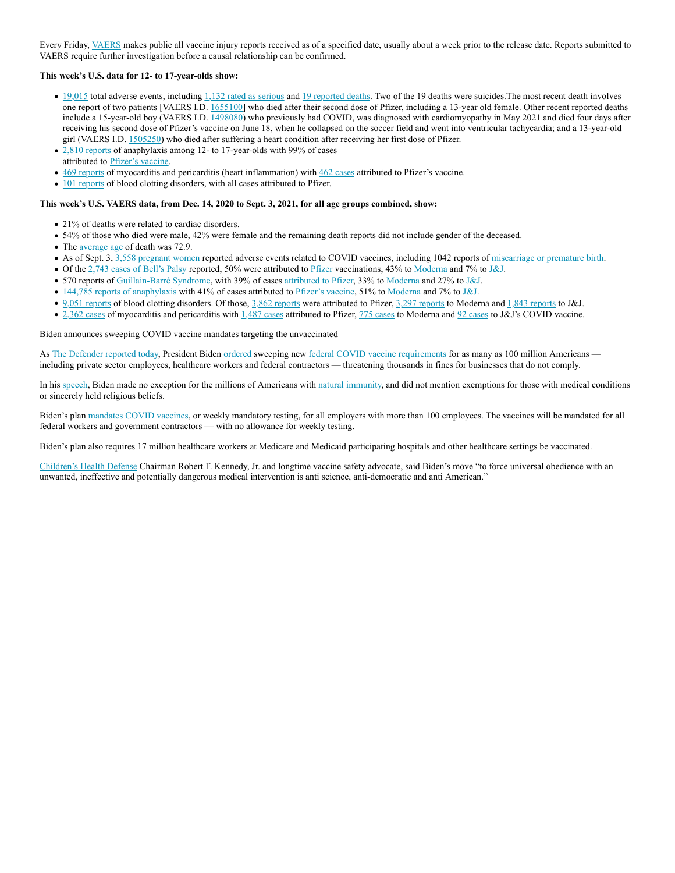Every Friday, VAERS makes public all vaccine injury reports received as of a specified date, usually about a week prior to the release date. Reports submitted to VAERS require further investigation before a causal relationship can be confirmed.

### **This week's U.S. data for 12- to 17-year-olds show:**

- 19,015 total adverse events, including 1,132 rated as serious and 19 reported deaths. Two of the 19 deaths were suicides.The most recent death involves one report of two patients [VAERS I.D. 1655100] who died after their second dose of Pfizer, including a 13-year old female. Other recent reported deaths include a 15-year-old boy (VAERS I.D. 1498080) who previously had COVID, was diagnosed with cardiomyopathy in May 2021 and died four days after receiving his second dose of Pfizer's vaccine on June 18, when he collapsed on the soccer field and went into ventricular tachycardia; and a 13-year-old girl (VAERS I.D. 1505250) who died after suffering a heart condition after receiving her first dose of Pfizer.
- 2,810 reports of anaphylaxis among 12- to 17-year-olds with 99% of cases
- attributed to Pfizer's vaccine.
- 469 reports of myocarditis and pericarditis (heart inflammation) with 462 cases attributed to Pfizer's vaccine.
- 101 reports of blood clotting disorders, with all cases attributed to Pfizer.

#### **This week's U.S. VAERS data, from Dec. 14, 2020 to Sept. 3, 2021, for all age groups combined, show:**

- 21% of deaths were related to cardiac disorders.
- 54% of those who died were male, 42% were female and the remaining death reports did not include gender of the deceased.
- The average age of death was 72.9.
- As of Sept. 3, 3,558 pregnant women reported adverse events related to COVID vaccines, including 1042 reports of miscarriage or premature birth.
- Of the 2,743 cases of Bell's Palsy reported, 50% were attributed to Pfizer vaccinations, 43% to Moderna and 7% to J&J.
- 570 reports of Guillain-Barré Syndrome, with 39% of cases attributed to Pfizer, 33% to Moderna and 27% to J&J.
- 144,785 reports of anaphylaxis with 41% of cases attributed to Pfizer's vaccine, 51% to Moderna and 7% to J&J.
- 9,051 reports of blood clotting disorders. Of those, 3,862 reports were attributed to Pfizer, 3,297 reports to Moderna and 1,843 reports to J&J.
- 2,362 cases of myocarditis and pericarditis with 1,487 cases attributed to Pfizer, 775 cases to Moderna and 92 cases to J&J's COVID vaccine.

Biden announces sweeping COVID vaccine mandates targeting the unvaccinated

As The Defender reported today, President Biden ordered sweeping new federal COVID vaccine requirements for as many as 100 million Americans including private sector employees, healthcare workers and federal contractors — threatening thousands in fines for businesses that do not comply.

In his speech, Biden made no exception for the millions of Americans with natural immunity, and did not mention exemptions for those with medical conditions or sincerely held religious beliefs.

Biden's plan mandates COVID vaccines, or weekly mandatory testing, for all employers with more than 100 employees. The vaccines will be mandated for all federal workers and government contractors — with no allowance for weekly testing.

Biden's plan also requires 17 million healthcare workers at Medicare and Medicaid participating hospitals and other healthcare settings be vaccinated.

Children's Health Defense Chairman Robert F. Kennedy, Jr. and longtime vaccine safety advocate, said Biden's move "to force universal obedience with an unwanted, ineffective and potentially dangerous medical intervention is anti science, anti-democratic and anti American."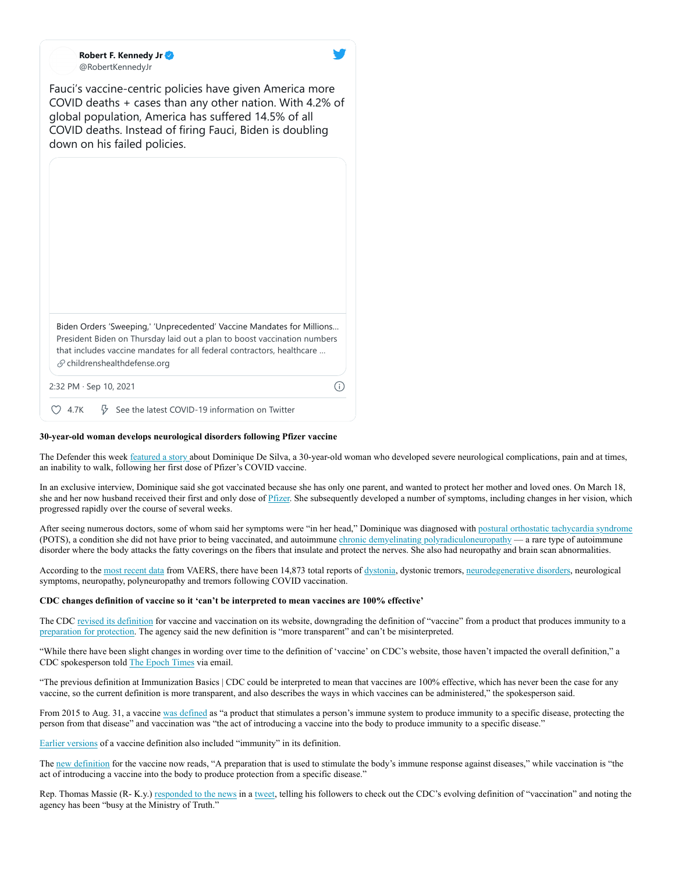**Robert F. Kennedy Jr** @RobertKennedyJr

Fauci's vaccine-centric policies have given America more COVID deaths + cases than any other nation. With 4.2% of global population, America has suffered 14.5% of all COVID deaths. Instead of firing Fauci, Biden is doubling down on his failed policies.

|      | Biden Orders 'Sweeping,' 'Unprecedented' Vaccine Mandates for Millions<br>President Biden on Thursday laid out a plan to boost vaccination numbers<br>that includes vaccine mandates for all federal contractors, healthcare<br>$\mathcal{S}$ childrenshealthdefense.org |  |
|------|--------------------------------------------------------------------------------------------------------------------------------------------------------------------------------------------------------------------------------------------------------------------------|--|
|      | 2:32 PM $\cdot$ Sep 10, 2021                                                                                                                                                                                                                                             |  |
| 4.7K | $\frac{1}{V}$ See the latest COVID-19 information on Twitter                                                                                                                                                                                                             |  |

#### **30-year-old woman develops neurological disorders following Pfizer vaccine**

The Defender this week featured a story about Dominique De Silva, a 30-year-old woman who developed severe neurological complications, pain and at times, an inability to walk, following her first dose of Pfizer's COVID vaccine.

In an exclusive interview, Dominique said she got vaccinated because she has only one parent, and wanted to protect her mother and loved ones. On March 18, she and her now husband received their first and only dose of Pfizer. She subsequently developed a number of symptoms, including changes in her vision, which progressed rapidly over the course of several weeks.

After seeing numerous doctors, some of whom said her symptoms were "in her head," Dominique was diagnosed with postural orthostatic tachycardia syndrome (POTS), a condition she did not have prior to being vaccinated, and autoimmune chronic demyelinating polyradiculoneuropathy — a rare type of autoimmune disorder where the body attacks the fatty coverings on the fibers that insulate and protect the nerves. She also had neuropathy and brain scan abnormalities.

According to the most recent data from VAERS, there have been 14,873 total reports of dystonia, dystonic tremors, neurodegenerative disorders, neurological symptoms, neuropathy, polyneuropathy and tremors following COVID vaccination.

#### **CDC changes definition of vaccine so it 'can't be interpreted to mean vaccines are 100% effective'**

The CDC revised its definition for vaccine and vaccination on its website, downgrading the definition of "vaccine" from a product that produces immunity to a preparation for protection. The agency said the new definition is "more transparent" and can't be misinterpreted.

"While there have been slight changes in wording over time to the definition of 'vaccine' on CDC's website, those haven't impacted the overall definition," a CDC spokesperson told The Epoch Times via email.

"The previous definition at Immunization Basics | CDC could be interpreted to mean that vaccines are 100% effective, which has never been the case for any vaccine, so the current definition is more transparent, and also describes the ways in which vaccines can be administered," the spokesperson said.

From 2015 to Aug. 31, a vaccine was defined as "a product that stimulates a person's immune system to produce immunity to a specific disease, protecting the person from that disease" and vaccination was "the act of introducing a vaccine into the body to produce immunity to a specific disease."

#### Earlier versions of a vaccine definition also included "immunity" in its definition.

The new definition for the vaccine now reads, "A preparation that is used to stimulate the body's immune response against diseases," while vaccination is "the act of introducing a vaccine into the body to produce protection from a specific disease."

Rep. Thomas Massie (R- K.y.) responded to the news in a tweet, telling his followers to check out the CDC's evolving definition of "vaccination" and noting the agency has been "busy at the Ministry of Truth."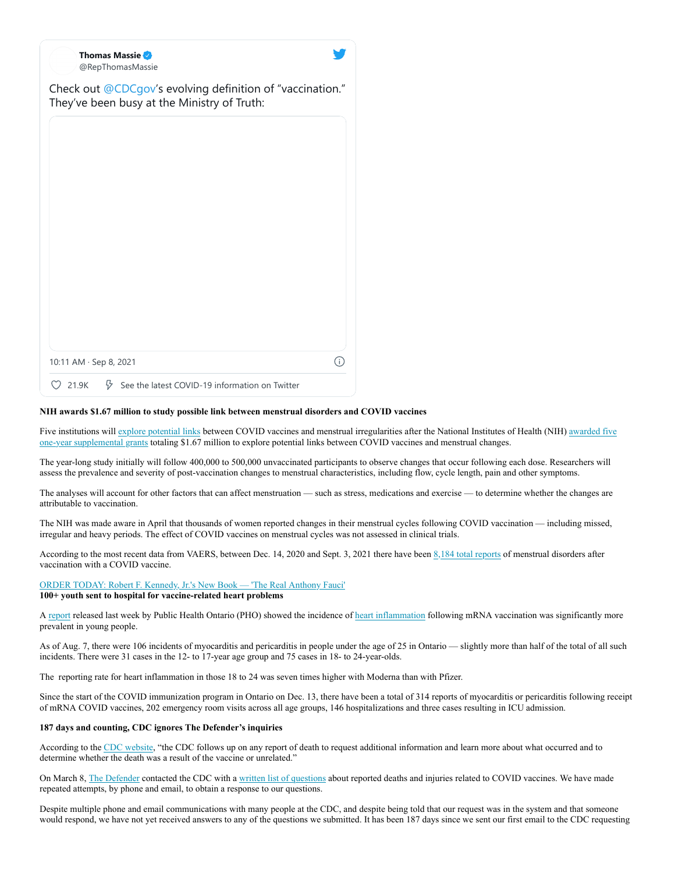| <b>Thomas Massie</b><br>@RepThomasMassie                                                                 |    |
|----------------------------------------------------------------------------------------------------------|----|
| Check out @CDCgov's evolving definition of "vaccination."<br>They've been busy at the Ministry of Truth: |    |
|                                                                                                          |    |
|                                                                                                          |    |
|                                                                                                          |    |
|                                                                                                          |    |
|                                                                                                          |    |
|                                                                                                          |    |
| 10:11 AM · Sep 8, 2021                                                                                   | G. |
| $\sqrt[3]{ }$ See the latest COVID-19 information on Twitter<br>21.9K                                    |    |

## **NIH awards \$1.67 million to study possible link between menstrual disorders and COVID vaccines**

Five institutions will explore potential links between COVID vaccines and menstrual irregularities after the National Institutes of Health (NIH) awarded five one-year supplemental grants totaling \$1.67 million to explore potential links between COVID vaccines and menstrual changes.

The year-long study initially will follow 400,000 to 500,000 unvaccinated participants to observe changes that occur following each dose. Researchers will assess the prevalence and severity of post-vaccination changes to menstrual characteristics, including flow, cycle length, pain and other symptoms.

The analyses will account for other factors that can affect menstruation — such as stress, medications and exercise — to determine whether the changes are attributable to vaccination.

The NIH was made aware in April that thousands of women reported changes in their menstrual cycles following COVID vaccination — including missed, irregular and heavy periods. The effect of COVID vaccines on menstrual cycles was not assessed in clinical trials.

According to the most recent data from VAERS, between Dec. 14, 2020 and Sept. 3, 2021 there have been 8,184 total reports of menstrual disorders after vaccination with a COVID vaccine.

ORDER TODAY: Robert F. Kennedy, Jr.'s New Book — 'The Real Anthony Fauci' **100+ youth sent to hospital for vaccine-related heart problems**

A report released last week by Public Health Ontario (PHO) showed the incidence of heart inflammation following mRNA vaccination was significantly more prevalent in young people.

As of Aug. 7, there were 106 incidents of myocarditis and pericarditis in people under the age of 25 in Ontario — slightly more than half of the total of all such incidents. There were 31 cases in the 12- to 17-year age group and 75 cases in 18- to 24-year-olds.

The reporting rate for heart inflammation in those 18 to 24 was seven times higher with Moderna than with Pfizer.

Since the start of the COVID immunization program in Ontario on Dec. 13, there have been a total of 314 reports of myocarditis or pericarditis following receipt of mRNA COVID vaccines, 202 emergency room visits across all age groups, 146 hospitalizations and three cases resulting in ICU admission.

## **187 days and counting, CDC ignores The Defender's inquiries**

According to the CDC website, "the CDC follows up on any report of death to request additional information and learn more about what occurred and to determine whether the death was a result of the vaccine or unrelated."

On March 8, The Defender contacted the CDC with a written list of questions about reported deaths and injuries related to COVID vaccines. We have made repeated attempts, by phone and email, to obtain a response to our questions.

Despite multiple phone and email communications with many people at the CDC, and despite being told that our request was in the system and that someone would respond, we have not yet received answers to any of the questions we submitted. It has been 187 days since we sent our first email to the CDC requesting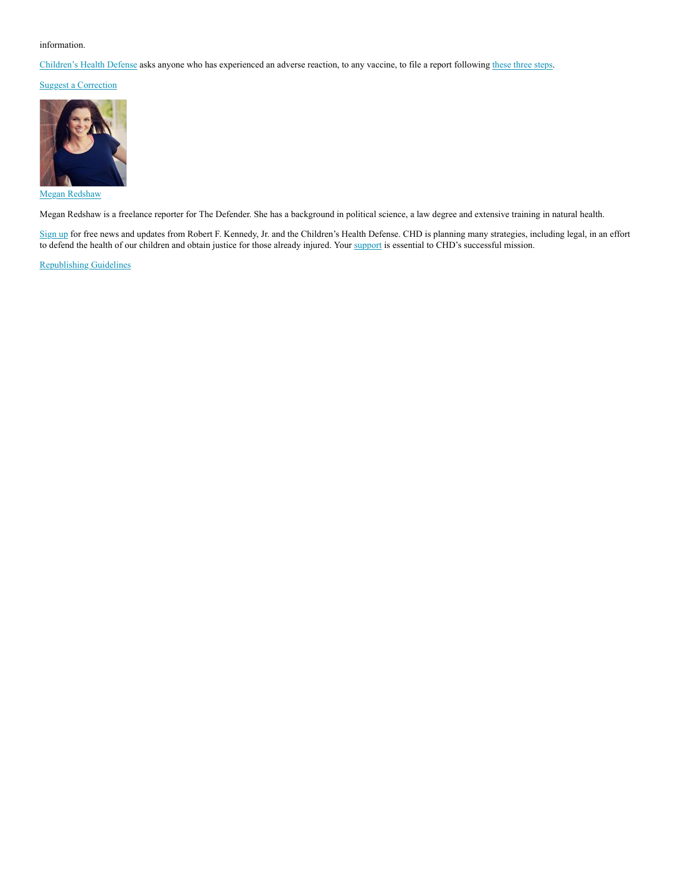# information.

Children's Health Defense asks anyone who has experienced an adverse reaction, to any vaccine, to file a report following these three steps.

Suggest a Correction



Megan Redshaw

Megan Redshaw is a freelance reporter for The Defender. She has a background in political science, a law degree and extensive training in natural health.

Sign up for free news and updates from Robert F. Kennedy, Jr. and the Children's Health Defense. CHD is planning many strategies, including legal, in an effort to defend the health of our children and obtain justice for those already injured. Your support is essential to CHD's successful mission.

Republishing Guidelines